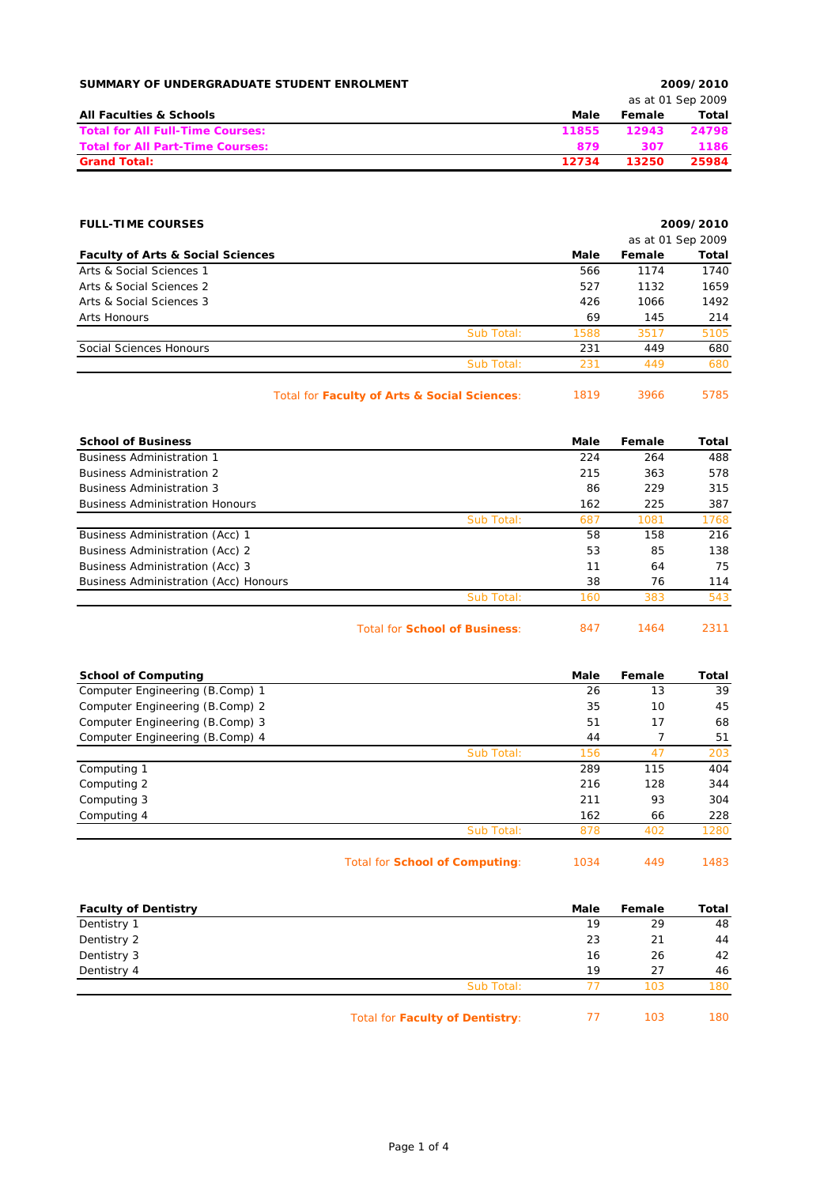| SUMMARY OF UNDERGRADUATE STUDENT ENROLMENT |       | 2009/2010 |                   |  |  |
|--------------------------------------------|-------|-----------|-------------------|--|--|
|                                            |       |           | as at 01 Sep 2009 |  |  |
| <b>All Faculties &amp; Schools</b>         | Male  | Female    | Total             |  |  |
| <b>Total for All Full-Time Courses:</b>    | 11855 | 12943     | 24798             |  |  |
| <b>Total for All Part-Time Courses:</b>    | 879   | 307       | 1186              |  |  |
| <b>Grand Total:</b>                        | 12734 | 13250     | 25984             |  |  |

| <b>FULL-TIME COURSES</b>                     |                                              | 2009/2010 |                   |       |
|----------------------------------------------|----------------------------------------------|-----------|-------------------|-------|
|                                              |                                              |           | as at 01 Sep 2009 |       |
| <b>Faculty of Arts &amp; Social Sciences</b> |                                              | Male      | Female            | Total |
| Arts & Social Sciences 1                     |                                              | 566       | 1174              | 1740  |
| Arts & Social Sciences 2                     |                                              | 527       | 1132              | 1659  |
| Arts & Social Sciences 3                     |                                              | 426       | 1066              | 1492  |
| Arts Honours                                 |                                              | 69        | 145               | 214   |
|                                              | Sub Total:                                   | 1588      | 3517              | 5105  |
| Social Sciences Honours                      |                                              | 231       | 449               | 680   |
|                                              | Sub Total:                                   | 231       | 449               | 680   |
|                                              | Total for Faculty of Arts & Social Sciences: | 1819      | 3966              | 5785  |

| <b>School of Business</b>              | Male | Female | Total |
|----------------------------------------|------|--------|-------|
| <b>Business Administration 1</b>       | 224  | 264    | 488   |
| <b>Business Administration 2</b>       | 215  | 363    | 578   |
| <b>Business Administration 3</b>       | 86   | 229    | 315   |
| <b>Business Administration Honours</b> | 162  | 225    | 387   |
| Sub Total:                             | 687  | 1081   | 1768  |
| <b>Business Administration (Acc) 1</b> | 58   | 158    | 216   |
| Business Administration (Acc) 2        | 53   | 85     | 138   |
| Business Administration (Acc) 3        | 11   | 64     | 75    |
| Business Administration (Acc) Honours  | 38   | 76     | 114   |
| Sub Total:                             | 160  | 383    | 543   |

Total for **School of Business**: 847 1464 2311

| <b>School of Computing</b>      |            | Male | Female | Total |
|---------------------------------|------------|------|--------|-------|
| Computer Engineering (B.Comp) 1 |            | 26   | 13     | 39    |
| Computer Engineering (B.Comp) 2 |            | 35   | 10     | 45    |
| Computer Engineering (B.Comp) 3 |            | 51   | 17     | 68    |
| Computer Engineering (B.Comp) 4 |            | 44   |        | 51    |
|                                 | Sub Total: | 156  | 47     | 203   |
| Computing 1                     |            | 289  | 115    | 404   |
| Computing 2                     |            | 216  | 128    | 344   |
| Computing 3                     |            | 211  | 93     | 304   |
| Computing 4                     |            | 162  | 66     | 228   |
|                                 | Sub Total: | 878  | 402    | 1280  |
|                                 |            |      |        |       |

Total for **School of Computing**: 1034 449 1483

| <b>Faculty of Dentistry</b> |                                 | Male | Female | Total |
|-----------------------------|---------------------------------|------|--------|-------|
| Dentistry 1                 |                                 | 19   | 29     | 48    |
| Dentistry 2                 |                                 | 23   | 21     | 44    |
| Dentistry 3                 |                                 | 16   | 26     | 42    |
| Dentistry 4                 |                                 | 19   | 27     | 46    |
|                             | Sub Total:                      |      | 103    | 180   |
|                             | Total for Faculty of Dentistry: |      | 103    | 180   |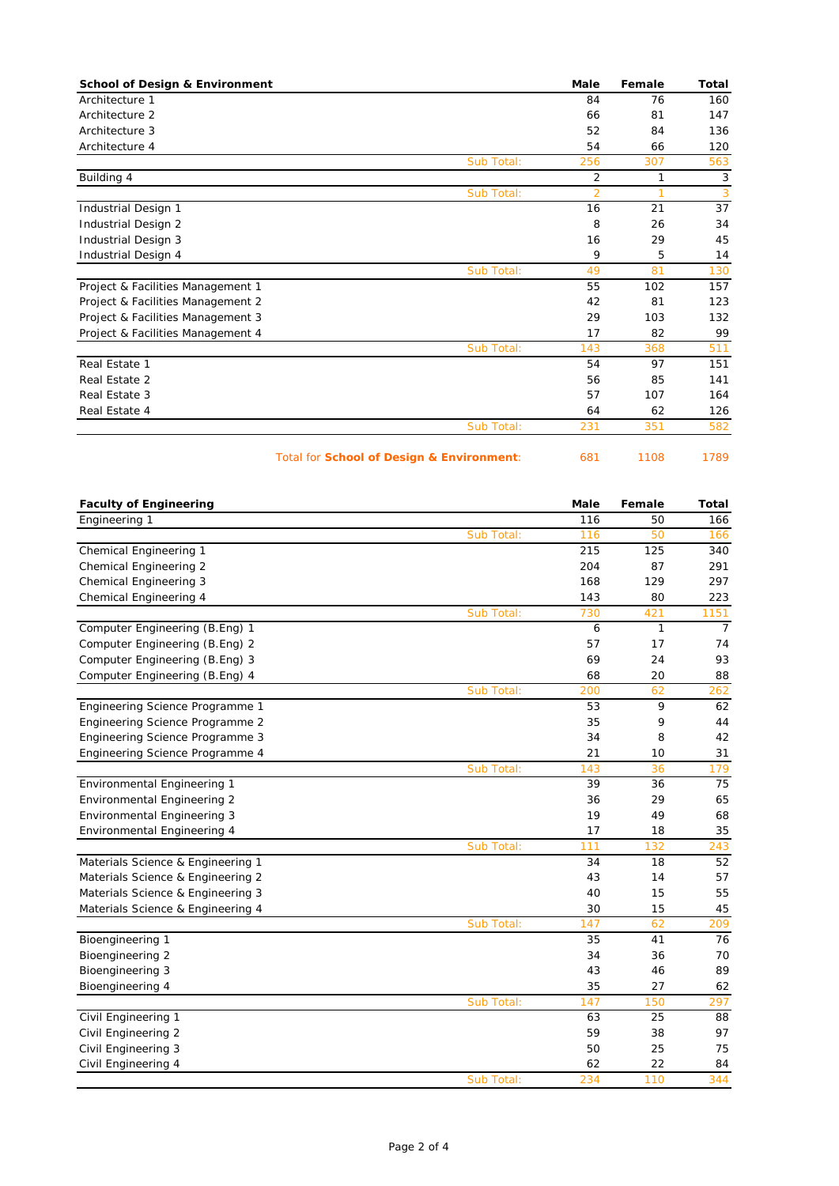| <b>School of Design &amp; Environment</b> |            | Male           | Female       | Total |
|-------------------------------------------|------------|----------------|--------------|-------|
| Architecture 1                            |            | 84             | 76           | 160   |
| Architecture 2                            |            | 66             | 81           | 147   |
| Architecture 3                            |            | 52             | 84           | 136   |
| Architecture 4                            |            | 54             | 66           | 120   |
|                                           | Sub Total: | 256            | 307          | 563   |
| Building 4                                |            | $\overline{2}$ | $\mathbf{1}$ | 3     |
|                                           | Sub Total: | $\overline{2}$ | 1            | 3     |
| Industrial Design 1                       |            | 16             | 21           | 37    |
| Industrial Design 2                       |            | 8              | 26           | 34    |
| Industrial Design 3                       |            | 16             | 29           | 45    |
| Industrial Design 4                       |            | 9              | 5            | 14    |
|                                           | Sub Total: | 49             | 81           | 130   |
| Project & Facilities Management 1         |            | 55             | 102          | 157   |
| Project & Facilities Management 2         |            | 42             | 81           | 123   |
| Project & Facilities Management 3         |            | 29             | 103          | 132   |
| Project & Facilities Management 4         |            | 17             | 82           | 99    |
|                                           | Sub Total: | 143            | 368          | 511   |
| Real Estate 1                             |            | 54             | 97           | 151   |
| Real Estate 2                             |            | 56             | 85           | 141   |
| Real Estate 3                             |            | 57             | 107          | 164   |
| Real Estate 4                             |            | 64             | 62           | 126   |
|                                           | Sub Total: | 231            | 351          | 582   |

Total for **School of Design & Environment**: 681 1108 1789

| <b>Faculty of Engineering</b>      |            | Male | Female       | <b>Total</b>   |
|------------------------------------|------------|------|--------------|----------------|
| Engineering 1                      |            | 116  | 50           | 166            |
|                                    | Sub Total: | 116  | 50           | 166            |
| Chemical Engineering 1             |            | 215  | 125          | 340            |
| Chemical Engineering 2             |            | 204  | 87           | 291            |
| Chemical Engineering 3             |            | 168  | 129          | 297            |
| Chemical Engineering 4             |            | 143  | 80           | 223            |
|                                    | Sub Total: | 730  | 421          | 1151           |
| Computer Engineering (B.Eng) 1     |            | 6    | $\mathbf{1}$ | $\overline{7}$ |
| Computer Engineering (B.Eng) 2     |            | 57   | 17           | 74             |
| Computer Engineering (B.Eng) 3     |            | 69   | 24           | 93             |
| Computer Engineering (B.Eng) 4     |            | 68   | 20           | 88             |
|                                    | Sub Total: | 200  | 62           | 262            |
| Engineering Science Programme 1    |            | 53   | 9            | 62             |
| Engineering Science Programme 2    |            | 35   | 9            | 44             |
| Engineering Science Programme 3    |            | 34   | 8            | 42             |
| Engineering Science Programme 4    |            | 21   | 10           | 31             |
|                                    | Sub Total: | 143  | 36           | 179            |
| Environmental Engineering 1        |            | 39   | 36           | 75             |
| <b>Environmental Engineering 2</b> |            | 36   | 29           | 65             |
| <b>Environmental Engineering 3</b> |            | 19   | 49           | 68             |
| Environmental Engineering 4        |            | 17   | 18           | 35             |
|                                    | Sub Total: | 111  | 132          | 243            |
| Materials Science & Engineering 1  |            | 34   | 18           | 52             |
| Materials Science & Engineering 2  |            | 43   | 14           | 57             |
| Materials Science & Engineering 3  |            | 40   | 15           | 55             |
| Materials Science & Engineering 4  |            | 30   | 15           | 45             |
|                                    | Sub Total: | 147  | 62           | 209            |
| Bioengineering 1                   |            | 35   | 41           | 76             |
| Bioengineering 2                   |            | 34   | 36           | 70             |
| Bioengineering 3                   |            | 43   | 46           | 89             |
| Bioengineering 4                   |            | 35   | 27           | 62             |
|                                    | Sub Total: | 147  | 150          | 297            |
| Civil Engineering 1                |            | 63   | 25           | 88             |
| Civil Engineering 2                |            | 59   | 38           | 97             |
| Civil Engineering 3                |            | 50   | 25           | 75             |
| Civil Engineering 4                |            | 62   | 22           | 84             |
|                                    | Sub Total: | 234  | 110          | 344            |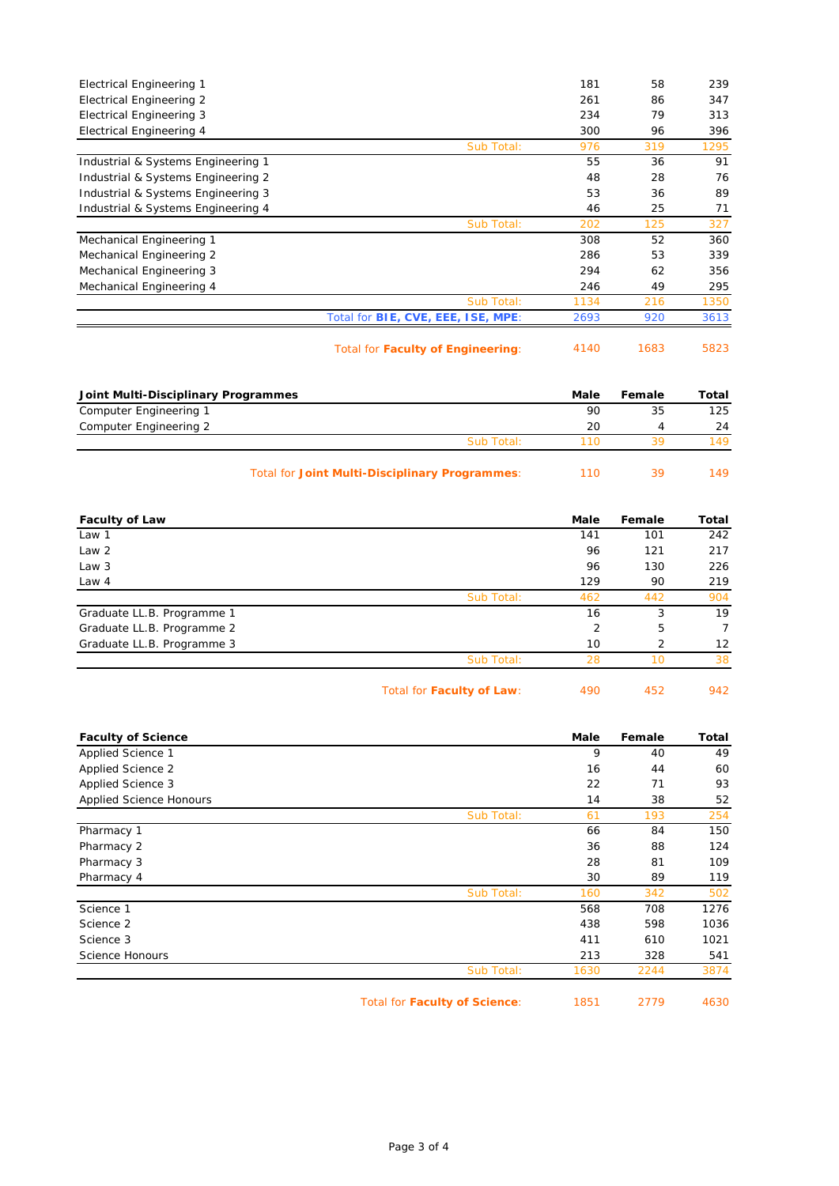| <b>Electrical Engineering 1</b>    |                                           | 181                | 58   | 239   |
|------------------------------------|-------------------------------------------|--------------------|------|-------|
| <b>Electrical Engineering 2</b>    |                                           | 261                | 86   | 347   |
| <b>Electrical Engineering 3</b>    |                                           | 234                | 79   | 313   |
| Electrical Engineering 4           |                                           | 300                | 96   | 396   |
|                                    | Sub Total:                                | 976                | 319  | 1295  |
| Industrial & Systems Engineering 1 |                                           | 55                 | 36   | 91    |
| Industrial & Systems Engineering 2 |                                           | 48                 | 28   | 76    |
| Industrial & Systems Engineering 3 |                                           | 53                 | 36   | 89    |
| Industrial & Systems Engineering 4 |                                           | 46                 | 25   | 71    |
|                                    | Sub Total:                                | 202                | 125  | 327   |
| Mechanical Engineering 1           |                                           | 308                | 52   | 360   |
| Mechanical Engineering 2           |                                           | 286                | 53   | 339   |
| Mechanical Engineering 3           |                                           | 294                | 62   | 356   |
| Mechanical Engineering 4           |                                           | 246                | 49   | 295   |
|                                    | Sub Total:                                | 1134               | 216  | 1350  |
|                                    | Total for <b>BIE, CVE, EEE, ISE, MPE:</b> | 2693               | 920  | 3613  |
|                                    |                                           | $\overline{11100}$ | 1000 | roon. |

Total for **Faculty of Engineering**: 4140 1683 5823

| Joint Multi-Disciplinary Programmes |            | Male | Female | Total |
|-------------------------------------|------------|------|--------|-------|
| Computer Engineering 1              |            | 90   | 35     | 125   |
| Computer Engineering 2              |            | 20   |        | 24    |
|                                     | Sub Total: | 11 N | 30     |       |
|                                     |            |      |        |       |

| Total for Joint Multi-Disciplinary Programmes: | 110 | 149 |
|------------------------------------------------|-----|-----|
|                                                |     |     |

| <b>Faculty of Law</b>      |            | Male | Female         | Total             |
|----------------------------|------------|------|----------------|-------------------|
| Law 1                      |            | 141  | 101            | 242               |
| Law <sub>2</sub>           |            | 96   | 121            | 217               |
| Law 3                      |            | 96   | 130            | 226               |
| Law 4                      |            | 129  | 90             | 219               |
|                            | Sub Total: | 462  | 442            | 904               |
| Graduate LL.B. Programme 1 |            | 16   | 3              | 19                |
| Graduate LL.B. Programme 2 |            | 2    | 5              | 7                 |
| Graduate LL.B. Programme 3 |            | 10   | $\overline{2}$ | $12 \overline{ }$ |
|                            | Sub Total: | 28   | 10             | 38                |
|                            |            |      |                |                   |

Total for **Faculty of Law**: 490 452 942

| <b>Faculty of Science</b>      |                               | Male | Female | Total |
|--------------------------------|-------------------------------|------|--------|-------|
| Applied Science 1              |                               | 9    | 40     | 49    |
| Applied Science 2              |                               | 16   | 44     | 60    |
| Applied Science 3              |                               | 22   | 71     | 93    |
| <b>Applied Science Honours</b> |                               | 14   | 38     | 52    |
|                                | Sub Total:                    | 61   | 193    | 254   |
| Pharmacy 1                     |                               | 66   | 84     | 150   |
| Pharmacy 2                     |                               | 36   | 88     | 124   |
| Pharmacy 3                     |                               | 28   | 81     | 109   |
| Pharmacy 4                     |                               | 30   | 89     | 119   |
|                                | Sub Total:                    | 160  | 342    | 502   |
| Science 1                      |                               | 568  | 708    | 1276  |
| Science 2                      |                               | 438  | 598    | 1036  |
| Science 3                      |                               | 411  | 610    | 1021  |
| Science Honours                |                               | 213  | 328    | 541   |
|                                | Sub Total:                    | 1630 | 2244   | 3874  |
|                                | Total for Faculty of Science: | 1851 | 2779   | 4630  |